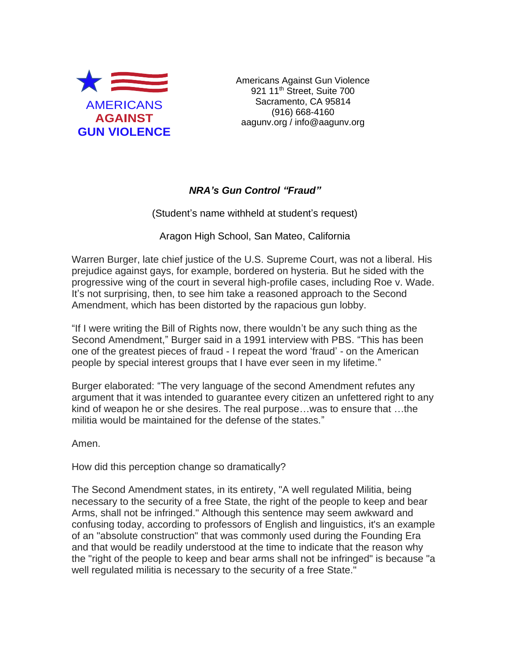

Americans Against Gun Violence 921 11<sup>th</sup> Street, Suite 700 Sacramento, CA 95814 (916) 668-4160 aagunv.org / info@aagunv.org

## *NRA's Gun Control "Fraud"*

(Student's name withheld at student's request)

Aragon High School, San Mateo, California

Warren Burger, late chief justice of the U.S. Supreme Court, was not a liberal. His prejudice against gays, for example, bordered on hysteria. But he sided with the progressive wing of the court in several high-profile cases, including Roe v. Wade. It's not surprising, then, to see him take a reasoned approach to the Second Amendment, which has been distorted by the rapacious gun lobby.

"If I were writing the Bill of Rights now, there wouldn't be any such thing as the Second Amendment," Burger said in a 1991 interview with PBS. "This has been one of the greatest pieces of fraud - I repeat the word 'fraud' - on the American people by special interest groups that I have ever seen in my lifetime."

Burger elaborated: "The very language of the second Amendment refutes any argument that it was intended to guarantee every citizen an unfettered right to any kind of weapon he or she desires. The real purpose…was to ensure that …the militia would be maintained for the defense of the states."

Amen.

How did this perception change so dramatically?

The Second Amendment states, in its entirety, "A well regulated Militia, being necessary to the security of a free State, the right of the people to keep and bear Arms, shall not be infringed." Although this sentence may seem awkward and confusing today, according to professors of English and linguistics, it's an example of an "absolute construction" that was commonly used during the Founding Era and that would be readily understood at the time to indicate that the reason why the "right of the people to keep and bear arms shall not be infringed" is because "a well regulated militia is necessary to the security of a free State."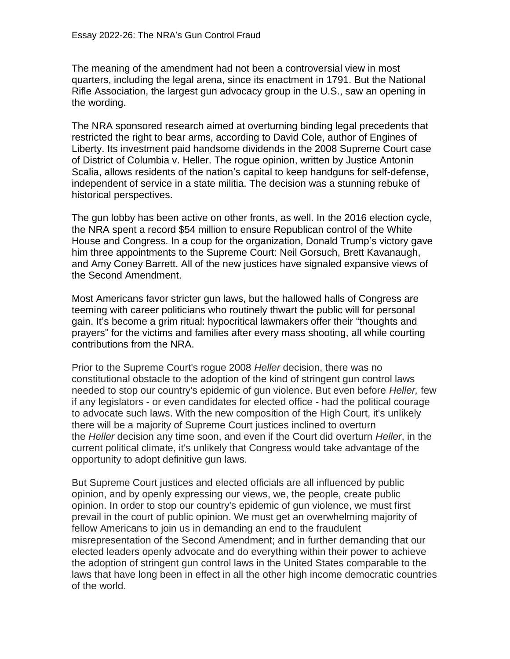The meaning of the amendment had not been a controversial view in most quarters, including the legal arena, since its enactment in 1791. But the National Rifle Association, the largest gun advocacy group in the U.S., saw an opening in the wording.

The NRA sponsored research aimed at overturning binding legal precedents that restricted the right to bear arms, according to David Cole, author of Engines of Liberty. Its investment paid handsome dividends in the 2008 Supreme Court case of District of Columbia v. Heller. The rogue opinion, written by Justice Antonin Scalia, allows residents of the nation's capital to keep handguns for self-defense, independent of service in a state militia. The decision was a stunning rebuke of historical perspectives.

The gun lobby has been active on other fronts, as well. In the 2016 election cycle, the NRA spent a record \$54 million to ensure Republican control of the White House and Congress. In a coup for the organization, Donald Trump's victory gave him three appointments to the Supreme Court: Neil Gorsuch, Brett Kavanaugh, and Amy Coney Barrett. All of the new justices have signaled expansive views of the Second Amendment.

Most Americans favor stricter gun laws, but the hallowed halls of Congress are teeming with career politicians who routinely thwart the public will for personal gain. It's become a grim ritual: hypocritical lawmakers offer their "thoughts and prayers" for the victims and families after every mass shooting, all while courting contributions from the NRA.

Prior to the Supreme Court's rogue 2008 *Heller* decision, there was no constitutional obstacle to the adoption of the kind of stringent gun control laws needed to stop our country's epidemic of gun violence. But even before *Heller,* few if any legislators - or even candidates for elected office - had the political courage to advocate such laws. With the new composition of the High Court, it's unlikely there will be a majority of Supreme Court justices inclined to overturn the *Heller* decision any time soon, and even if the Court did overturn *Heller*, in the current political climate, it's unlikely that Congress would take advantage of the opportunity to adopt definitive gun laws.

But Supreme Court justices and elected officials are all influenced by public opinion, and by openly expressing our views, we, the people, create public opinion. In order to stop our country's epidemic of gun violence, we must first prevail in the court of public opinion. We must get an overwhelming majority of fellow Americans to join us in demanding an end to the fraudulent misrepresentation of the Second Amendment; and in further demanding that our elected leaders openly advocate and do everything within their power to achieve the adoption of stringent gun control laws in the United States comparable to the laws that have long been in effect in all the other high income democratic countries of the world.